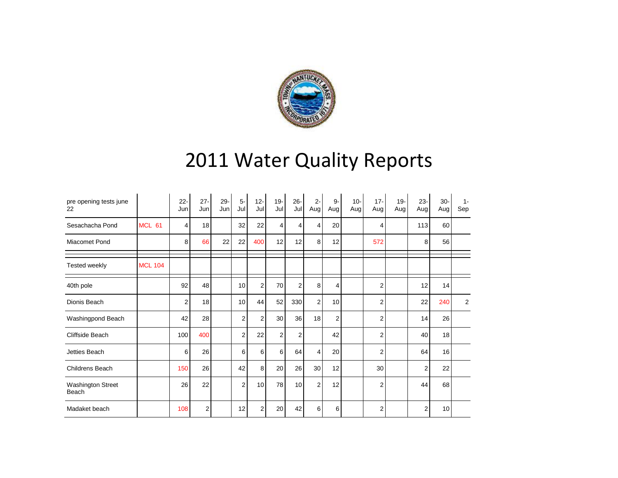

## 2011 Water Quality Reports

| pre opening tests june<br>22 |                | $22 -$<br>Jun | $27 -$<br>Jun | $29 -$<br>Jun | $5-$<br>Jul    | $12 -$<br>Jul | $19 -$<br>Jul  | $26 -$<br>Jul | $2 -$<br>Aug   | 9-<br>Aug      | $10 -$<br>Aug | $17 -$<br>Aug | $19 -$<br>Aug | $23 -$<br>Aug | $30 -$<br>Aug | $1 -$<br>Sep |
|------------------------------|----------------|---------------|---------------|---------------|----------------|---------------|----------------|---------------|----------------|----------------|---------------|---------------|---------------|---------------|---------------|--------------|
| Sesachacha Pond              | <b>MCL 61</b>  | 4             | 18            |               | 32             | 22            | 4              | 4             | 4              | 20             |               | 4             |               | 113           | 60            |              |
| Miacomet Pond                |                | 8             | 66            | 22            | 22             | 400           | 12             | 12            | 8              | 12             |               | 572           |               | 8             | 56            |              |
| Tested weekly                | <b>MCL 104</b> |               |               |               |                |               |                |               |                |                |               |               |               |               |               |              |
| 40th pole                    |                | 92            | 48            |               | 10             | 2             | 70             | 2             | 8              | 4              |               | 2             |               | 12            | 14            |              |
| Dionis Beach                 |                | 2             | 18            |               | 10             | 44            | 52             | 330           | 2              | 10             |               | 2             |               | 22            | 240           | 2            |
| Washingpond Beach            |                | 42            | 28            |               | $\overline{2}$ | 2             | 30             | 36            | 18             | $\overline{2}$ |               | 2             |               | 14            | 26            |              |
| Cliffside Beach              |                | 100           | 400           |               | 2              | 22            | $\overline{2}$ | 2             |                | 42             |               | 2             |               | 40            | 18            |              |
| Jetties Beach                |                | 6             | 26            |               | 6              | 6             | 6              | 64            | 4              | 20             |               | 2             |               | 64            | 16            |              |
| <b>Childrens Beach</b>       |                | 150           | 26            |               | 42             | 8             | 20             | 26            | 30             | 12             |               | 30            |               | 2             | 22            |              |
| Washington Street<br>Beach   |                | 26            | 22            |               | $\overline{2}$ | 10            | 78             | 10            | $\overline{2}$ | 12             |               | 2             |               | 44            | 68            |              |
| Madaket beach                |                | 108           | 2             |               | 12             | 2             | 20             | 42            | 6              | 6              |               | 2             |               | 2             | 10            |              |